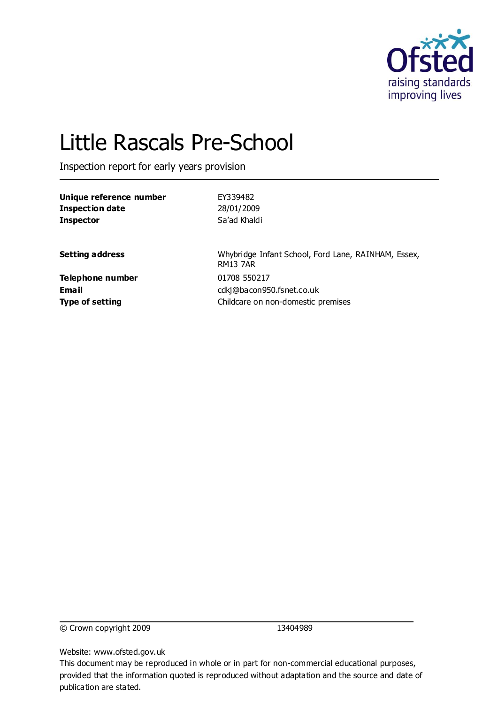

# Little Rascals Pre-School

Inspection report for early years provision

| Unique reference number | EY339482                                                               |
|-------------------------|------------------------------------------------------------------------|
| <b>Inspection date</b>  | 28/01/2009                                                             |
| <b>Inspector</b>        | Sa'ad Khaldi                                                           |
| <b>Setting address</b>  | Whybridge Infant School, Ford Lane, RAINHAM, Essex,<br><b>RM13 7AR</b> |
| <b>Telephone number</b> | 01708 550217                                                           |
| <b>Email</b>            | cdkj@bacon950.fsnet.co.uk                                              |
| <b>Type of setting</b>  | Childcare on non-domestic premises                                     |

© Crown copyright 2009 13404989

Website: www.ofsted.gov.uk

This document may be reproduced in whole or in part for non-commercial educational purposes, provided that the information quoted is reproduced without adaptation and the source and date of publication are stated.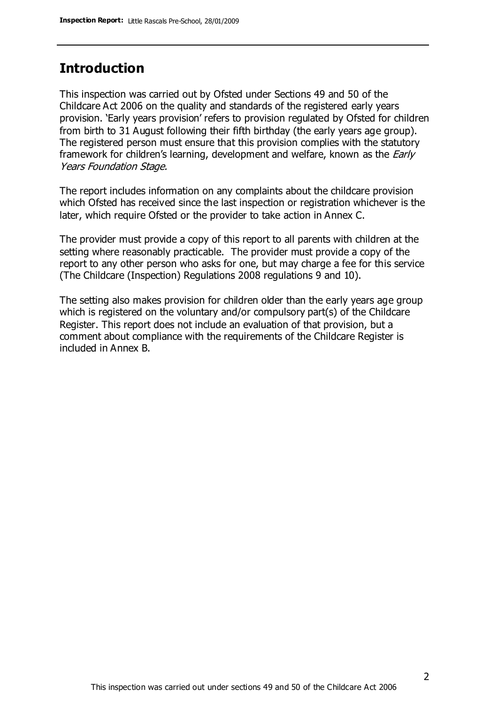### **Introduction**

This inspection was carried out by Ofsted under Sections 49 and 50 of the Childcare Act 2006 on the quality and standards of the registered early years provision. 'Early years provision' refers to provision regulated by Ofsted for children from birth to 31 August following their fifth birthday (the early years age group). The registered person must ensure that this provision complies with the statutory framework for children's learning, development and welfare, known as the *Early* Years Foundation Stage.

The report includes information on any complaints about the childcare provision which Ofsted has received since the last inspection or registration whichever is the later, which require Ofsted or the provider to take action in Annex C.

The provider must provide a copy of this report to all parents with children at the setting where reasonably practicable. The provider must provide a copy of the report to any other person who asks for one, but may charge a fee for this service (The Childcare (Inspection) Regulations 2008 regulations 9 and 10).

The setting also makes provision for children older than the early years age group which is registered on the voluntary and/or compulsory part(s) of the Childcare Register. This report does not include an evaluation of that provision, but a comment about compliance with the requirements of the Childcare Register is included in Annex B.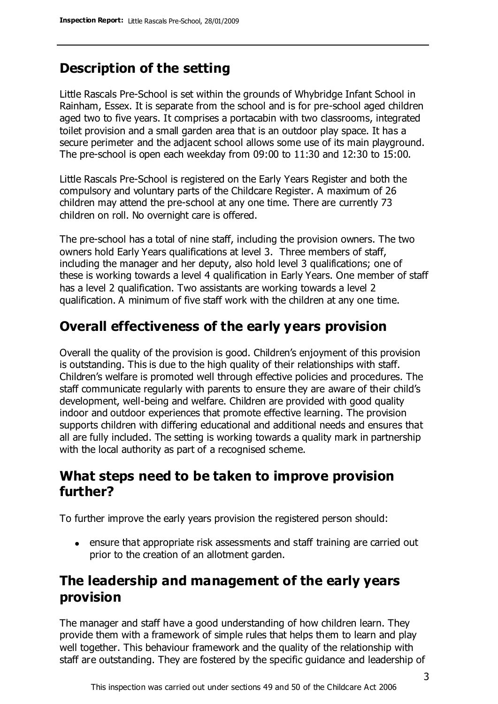### **Description of the setting**

Little Rascals Pre-School is set within the grounds of Whybridge Infant School in Rainham, Essex. It is separate from the school and is for pre-school aged children aged two to five years. It comprises a portacabin with two classrooms, integrated toilet provision and a small garden area that is an outdoor play space. It has a secure perimeter and the adjacent school allows some use of its main playground. The pre-school is open each weekday from 09:00 to 11:30 and 12:30 to 15:00.

Little Rascals Pre-School is registered on the Early Years Register and both the compulsory and voluntary parts of the Childcare Register. A maximum of 26 children may attend the pre-school at any one time. There are currently 73 children on roll. No overnight care is offered.

The pre-school has a total of nine staff, including the provision owners. The two owners hold Early Years qualifications at level 3. Three members of staff, including the manager and her deputy, also hold level 3 qualifications; one of these is working towards a level 4 qualification in Early Years. One member of staff has a level 2 qualification. Two assistants are working towards a level 2 qualification. A minimum of five staff work with the children at any one time.

### **Overall effectiveness of the early years provision**

Overall the quality of the provision is good. Children's enjoyment of this provision is outstanding. This is due to the high quality of their relationships with staff. Children's welfare is promoted well through effective policies and procedures. The staff communicate regularly with parents to ensure they are aware of their child's development, well-being and welfare. Children are provided with good quality indoor and outdoor experiences that promote effective learning. The provision supports children with differing educational and additional needs and ensures that all are fully included. The setting is working towards a quality mark in partnership with the local authority as part of a recognised scheme.

### **What steps need to be taken to improve provision further?**

To further improve the early years provision the registered person should:

ensure that appropriate risk assessments and staff training are carried out prior to the creation of an allotment garden.

### **The leadership and management of the early years provision**

The manager and staff have a good understanding of how children learn. They provide them with a framework of simple rules that helps them to learn and play well together. This behaviour framework and the quality of the relationship with staff are outstanding. They are fostered by the specific guidance and leadership of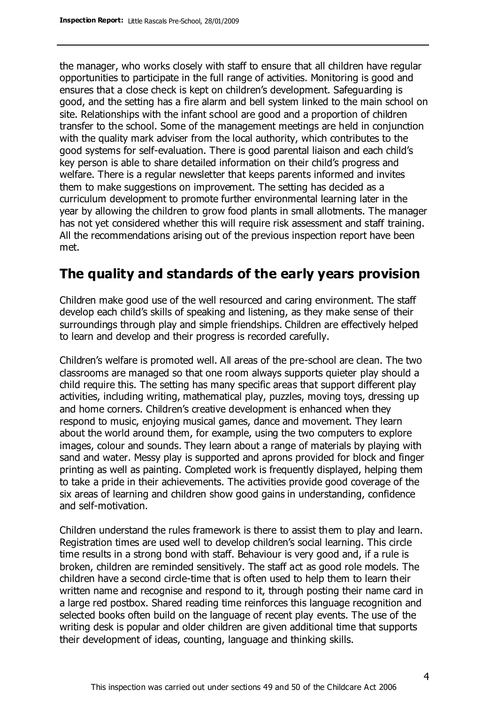the manager, who works closely with staff to ensure that all children have regular opportunities to participate in the full range of activities. Monitoring is good and ensures that a close check is kept on children's development. Safeguarding is good, and the setting has a fire alarm and bell system linked to the main school on site. Relationships with the infant school are good and a proportion of children transfer to the school. Some of the management meetings are held in conjunction with the quality mark adviser from the local authority, which contributes to the good systems for self-evaluation. There is good parental liaison and each child's key person is able to share detailed information on their child's progress and welfare. There is a regular newsletter that keeps parents informed and invites them to make suggestions on improvement. The setting has decided as a curriculum development to promote further environmental learning later in the year by allowing the children to grow food plants in small allotments. The manager has not yet considered whether this will require risk assessment and staff training. All the recommendations arising out of the previous inspection report have been met.

### **The quality and standards of the early years provision**

Children make good use of the well resourced and caring environment. The staff develop each child's skills of speaking and listening, as they make sense of their surroundings through play and simple friendships. Children are effectively helped to learn and develop and their progress is recorded carefully.

Children's welfare is promoted well. All areas of the pre-school are clean. The two classrooms are managed so that one room always supports quieter play should a child require this. The setting has many specific areas that support different play activities, including writing, mathematical play, puzzles, moving toys, dressing up and home corners. Children's creative development is enhanced when they respond to music, enjoying musical games, dance and movement. They learn about the world around them, for example, using the two computers to explore images, colour and sounds. They learn about a range of materials by playing with sand and water. Messy play is supported and aprons provided for block and finger printing as well as painting. Completed work is frequently displayed, helping them to take a pride in their achievements. The activities provide good coverage of the six areas of learning and children show good gains in understanding, confidence and self-motivation.

Children understand the rules framework is there to assist them to play and learn. Registration times are used well to develop children's social learning. This circle time results in a strong bond with staff. Behaviour is very good and, if a rule is broken, children are reminded sensitively. The staff act as good role models. The children have a second circle-time that is often used to help them to learn their written name and recognise and respond to it, through posting their name card in a large red postbox. Shared reading time reinforces this language recognition and selected books often build on the language of recent play events. The use of the writing desk is popular and older children are given additional time that supports their development of ideas, counting, language and thinking skills.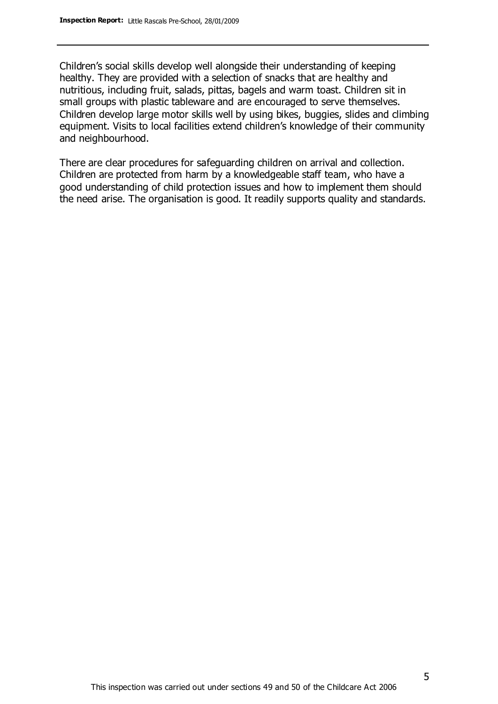Children's social skills develop well alongside their understanding of keeping healthy. They are provided with a selection of snacks that are healthy and nutritious, including fruit, salads, pittas, bagels and warm toast. Children sit in small groups with plastic tableware and are encouraged to serve themselves. Children develop large motor skills well by using bikes, buggies, slides and climbing equipment. Visits to local facilities extend children's knowledge of their community and neighbourhood.

There are clear procedures for safeguarding children on arrival and collection. Children are protected from harm by a knowledgeable staff team, who have a good understanding of child protection issues and how to implement them should the need arise. The organisation is good. It readily supports quality and standards.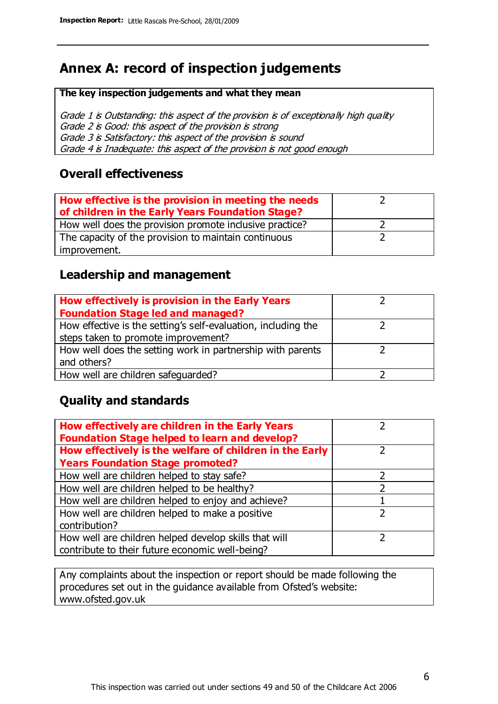# **Annex A: record of inspection judgements**

#### **The key inspection judgements and what they mean**

Grade 1 is Outstanding: this aspect of the provision is of exceptionally high quality Grade 2 is Good: this aspect of the provision is strong Grade 3 is Satisfactory: this aspect of the provision is sound Grade 4 is Inadequate: this aspect of the provision is not good enough

### **Overall effectiveness**

| How effective is the provision in meeting the needs<br>of children in the Early Years Foundation Stage? |  |
|---------------------------------------------------------------------------------------------------------|--|
| How well does the provision promote inclusive practice?                                                 |  |
| The capacity of the provision to maintain continuous                                                    |  |
| improvement.                                                                                            |  |

### **Leadership and management**

| How effectively is provision in the Early Years               |  |
|---------------------------------------------------------------|--|
| <b>Foundation Stage led and managed?</b>                      |  |
| How effective is the setting's self-evaluation, including the |  |
| steps taken to promote improvement?                           |  |
| How well does the setting work in partnership with parents    |  |
| and others?                                                   |  |
| How well are children safequarded?                            |  |

### **Quality and standards**

| How effectively are children in the Early Years<br><b>Foundation Stage helped to learn and develop?</b> |   |
|---------------------------------------------------------------------------------------------------------|---|
| How effectively is the welfare of children in the Early                                                 | ר |
| <b>Years Foundation Stage promoted?</b>                                                                 |   |
| How well are children helped to stay safe?                                                              |   |
| How well are children helped to be healthy?                                                             | ົ |
| How well are children helped to enjoy and achieve?                                                      |   |
| How well are children helped to make a positive                                                         | っ |
| contribution?                                                                                           |   |
| How well are children helped develop skills that will                                                   |   |
| contribute to their future economic well-being?                                                         |   |

Any complaints about the inspection or report should be made following the procedures set out in the guidance available from Ofsted's website: www.ofsted.gov.uk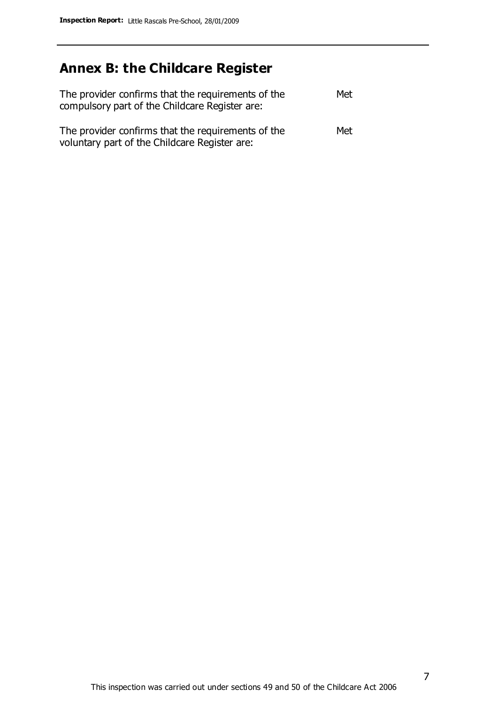# **Annex B: the Childcare Register**

| The provider confirms that the requirements of the<br>compulsory part of the Childcare Register are: | Met |
|------------------------------------------------------------------------------------------------------|-----|
| The provider confirms that the requirements of the<br>voluntary part of the Childcare Register are:  | Met |